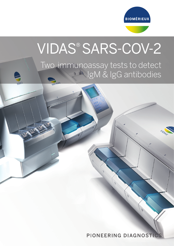

# VIDAS® SARS-COV-2

Two immunoassay tests to detect IgM & IgG antibodies

PIONEERING DIAGNOSTIC